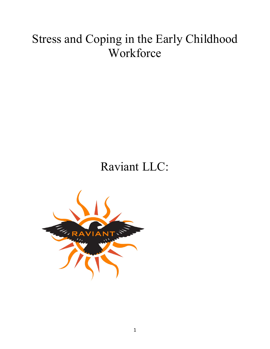# Stress and Coping in the Early Childhood Workforce

## Raviant LLC:

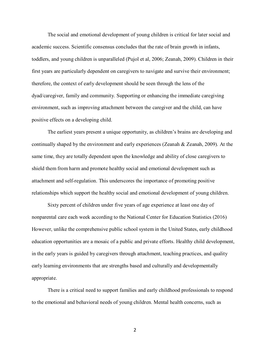The social and emotional development of young children is critical for later social and academic success. Scientific consensus concludes that the rate of brain growth in infants, toddlers, and young children is unparalleled (Pujol et al, 2006; Zeanah, 2009). Children in their first years are particularly dependent on caregivers to navigate and survive their environment; therefore, the context of early development should be seen through the lens of the dyad/caregiver, family and community. Supporting or enhancing the immediate caregiving environment, such as improving attachment between the caregiver and the child, can have positive effects on a developing child.

The earliest years present a unique opportunity, as children's brains are developing and continually shaped by the environment and early experiences (Zeanah & Zeanah, 2009). At the same time, they are totally dependent upon the knowledge and ability of close caregivers to shield them from harm and promote healthy social and emotional development such as attachment and self-regulation. This underscores the importance of promoting positive relationships which support the healthy social and emotional development of young children.

Sixty percent of children under five years of age experience at least one day of nonparental care each week according to the National Center for Education Statistics (2016) However, unlike the comprehensive public school system in the United States, early childhood education opportunities are a mosaic of a public and private efforts. Healthy child development, in the early years is guided by caregivers through attachment, teaching practices, and quality early learning environments that are strengths based and culturally and developmentally appropriate.

There is a critical need to support families and early childhood professionals to respond to the emotional and behavioral needs of young children. Mental health concerns, such as

2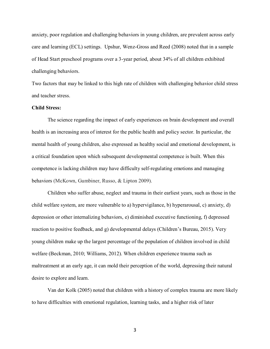anxiety, poor regulation and challenging behaviors in young children, are prevalent across early care and learning (ECL) settings. Upshur, Wenz-Gross and Reed (2008) noted that in a sample of Head Start preschool programs over a 3-year period, about 34% of all children exhibited challenging behaviors.

Two factors that may be linked to this high rate of children with challenging behavior child stress and teacher stress.

## **Child Stress:**

The science regarding the impact of early experiences on brain development and overall health is an increasing area of interest for the public health and policy sector. In particular, the mental health of young children, also expressed as healthy social and emotional development, is a critical foundation upon which subsequent developmental competence is built. When this competence is lacking children may have difficulty self-regulating emotions and managing behaviors (McKown, Gumbiner, Russo, & Lipton 2009).

Children who suffer abuse, neglect and trauma in their earliest years, such as those in the child welfare system, are more vulnerable to a) hypervigilance, b) hyperarousal, c) anxiety, d) depression or other internalizing behaviors, e) diminished executive functioning, f) depressed reaction to positive feedback, and g) developmental delays (Children's Bureau, 2015). Very young children make up the largest percentage of the population of children involved in child welfare (Beckman, 2010; Williams, 2012). When children experience trauma such as maltreatment at an early age, it can mold their perception of the world, depressing their natural desire to explore and learn.

Van der Kolk (2005) noted that children with a history of complex trauma are more likely to have difficulties with emotional regulation, learning tasks, and a higher risk of later

3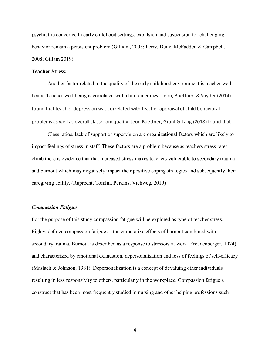psychiatric concerns. In early childhood settings, expulsion and suspension for challenging behavior remain a persistent problem (Gilliam, 2005; Perry, Dune, McFadden & Campbell, 2008; Gillam 2019).

## **Teacher Stress:**

Another factor related to the quality of the early childhood environment is teacher well being. Teacher well being is correlated with child outcomes. Jeon, Buettner, & Snyder (2014) found that teacher depression was correlated with teacher appraisal of child behavioral problems as well as overall classroom quality. Jeon Buettner, Grant & Lang (2018) found that

Class ratios, lack of support or supervision are organizational factors which are likely to impact feelings of stress in staff. These factors are a problem because as teachers stress rates climb there is evidence that that increased stress makes teachers vulnerable to secondary trauma and burnout which may negatively impact their positive coping strategies and subsequently their caregiving ability. (Ruprecht, Tomlin, Perkins, Viehweg, 2019)

## *Compassion Fatigue*

For the purpose of this study compassion fatigue will be explored as type of teacher stress. Figley, defined compassion fatigue as the cumulative effects of burnout combined with secondary trauma. Burnout is described as a response to stressors at work (Freudenberger, 1974) and characterized by emotional exhaustion, depersonalization and loss of feelings of self-efficacy (Maslach & Johnson, 1981). Depersonalization is a concept of devaluing other individuals resulting in less responsivity to others, particularly in the workplace. Compassion fatigue a construct that has been most frequently studied in nursing and other helping professions such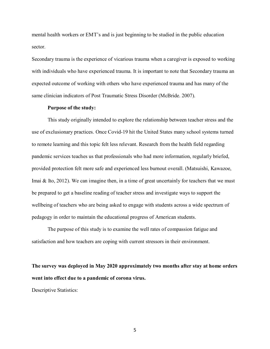mental health workers or EMT's and is just beginning to be studied in the public education sector.

Secondary trauma is the experience of vicarious trauma when a caregiver is exposed to working with individuals who have experienced trauma. It is important to note that Secondary trauma an expected outcome of working with others who have experienced trauma and has many of the same clinician indicators of Post Traumatic Stress Disorder (McBride. 2007).

#### **Purpose of the study:**

This study originally intended to explore the relationship between teacher stress and the use of exclusionary practices. Once Covid-19 hit the United States many school systems turned to remote learning and this topic felt less relevant. Research from the health field regarding pandemic services teaches us that professionals who had more information, regularly briefed, provided protection felt more safe and experienced less burnout overall. (Matsuishi, Kawazoe, Imai & Ito, 2012). We can imagine then, in a time of great uncertainly for teachers that we must be prepared to get a baseline reading of teacher stress and investigate ways to support the wellbeing of teachers who are being asked to engage with students across a wide spectrum of pedagogy in order to maintain the educational progress of American students.

The purpose of this study is to examine the well rates of compassion fatigue and satisfaction and how teachers are coping with current stressors in their environment.

**The survey was deployed in May 2020 approximately two months after stay at home orders went into effect due to a pandemic of corona virus.** 

Descriptive Statistics: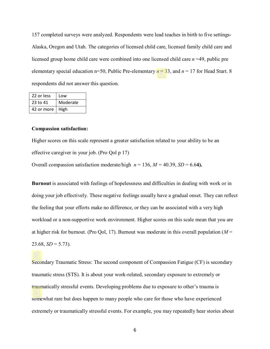157 completed surveys were analyzed. Respondents were lead teaches in birth to five settings-Alaska, Oregon and Utah. The categories of licensed child care, licensed family child care and licensed group home child care were combined into one licensed child care *n* =49, public pre elementary special education n=50, Public Pre-elementary *n* = 33, and *n* = 17 for Head Start. 8 respondents did not answer this question.

| 22 or less | Low      |
|------------|----------|
| 23 to 41   | Moderate |
| 42 or more | High     |

#### **Compassion satisfaction:**

Higher scores on this scale represent a greater satisfaction related to your ability to be an effective caregiver in your job. (Pro Qol p 17)

Overall compassion satisfaction moderate/high  $n = 136$ ,  $M = 40.39$ ,  $SD = 6.64$ ).

**Burnout** is associated with feelings of hopelessness and difficulties in dealing with work or in doing your job effectively. These negative feelings usually have a gradual onset. They can reflect the feeling that your efforts make no difference, or they can be associated with a very high workload or a non-supportive work environment. Higher scores on this scale mean that you are at higher risk for burnout. (Pro Qol, 17). Burnout was moderate in this overall population (*M* =  $23.68, SD = 5.73$ ).

Secondary Traumatic Stress: The second component of Compassion Fatigue (CF) is secondary traumatic stress (STS). It is about your work-related, secondary exposure to extremely or traumatically stressful events. Developing problems due to exposure to other's trauma is somewhat rare but does happen to many people who care for those who have experienced extremely or traumatically stressful events. For example, you may repeatedly hear stories about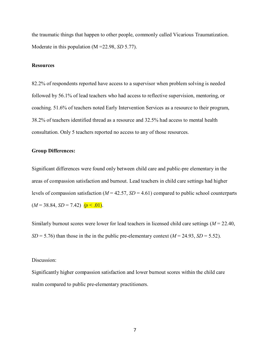the traumatic things that happen to other people, commonly called Vicarious Traumatization. Moderate in this population (M =22.98, *SD* 5.77).

## **Resources**

82.2% of respondents reported have access to a supervisor when problem solving is needed followed by 56.1% of lead teachers who had access to reflective supervision, mentoring, or coaching. 51.6% of teachers noted Early Intervention Services as a resource to their program, 38.2% of teachers identified thread as a resource and 32.5% had access to mental health consultation. Only 5 teachers reported no access to any of those resources.

## **Group Differences:**

Significant differences were found only between child care and public-pre elementary in the areas of compassion satisfaction and burnout. Lead teachers in child care settings had higher levels of compassion satisfaction (*M* = 42.57, *SD* = 4.61) compared to public school counterparts  $(M = 38.84, SD = 7.42)$   $(p < .01)$ .

Similarly burnout scores were lower for lead teachers in licensed child care settings (*M* = 22.40, *SD* = 5.76) than those in the in the public pre-elementary context ( $M = 24.93$ , *SD* = 5.52).

## Discussion:

Significantly higher compassion satisfaction and lower burnout scores within the child care realm compared to public pre-elementary practitioners.